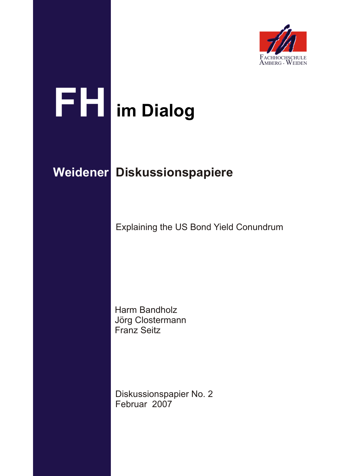

# **FH im Dialog**

# **Weidener Diskussionspapiere**

Explaining the US Bond Yield Conundrum

Harm Bandholz Jörg Clostermann Franz Seitz

Diskussionspapier No. 2 Februar 2007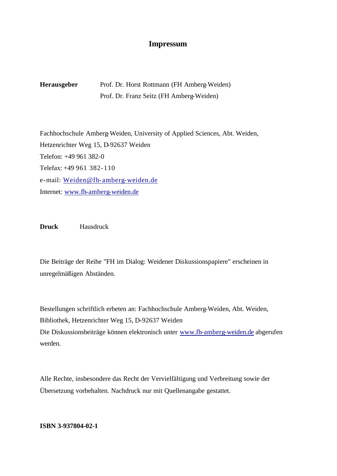#### **Impressum**

**Herausgeber** Prof. Dr. Horst Rottmann (FH Amberg-Weiden) Prof. Dr. Franz Seitz (FH Amberg-Weiden)

Fachhochschule Amberg-Weiden, University of Applied Sciences, Abt. Weiden, Hetzenrichter Weg 15, D-92637 Weiden Telefon: +49 961 382-0 Telefax: +49 961 382-110 e-mail: Weiden@fh-amberg-weiden.de Internet: www.fh-amberg-weiden.de

**Druck** Hausdruck

Die Beiträge der Reihe "FH im Dialog: Weidener Diskussionspapiere" erscheinen in unregelmäßigen Abständen.

Bestellungen schriftlich erbeten an: Fachhochschule Amberg-Weiden, Abt. Weiden, Bibliothek, Hetzenrichter Weg 15, D-92637 Weiden Die Diskussionsbeiträge können elektronisch unter www.fh-amberg-weiden.de abgerufen werden.

Alle Rechte, insbesondere das Recht der Vervielfältigung und Verbreitung sowie der Übersetzung vorbehalten. Nachdruck nur mit Quellenangabe gestattet.

**ISBN 3-937804-02-1**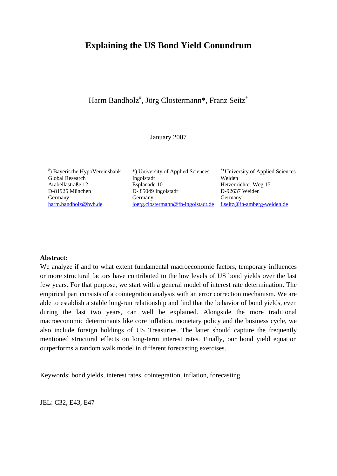# **Explaining the US Bond Yield Conundrum**

## Harm Bandholz<sup>#</sup>, Jörg Clostermann\*, Franz Seitz<sup>+</sup>

#### January 2007

\*) Bayerische HypoVereinsbank

 $*$ ) University of Applied Sciences  $*$ <sup>+)</sup> University of Applied Sciences Global Research 10 Ingolstadt 10 Weiden<br>Arabellastraße 12 Esplanade 10 Hetzenri Esplanade 10 Hetzenrichter Weg 15 D-81925 München D- 85049 Ingolstadt D-92637 Weiden Germany Germany Germany Germany Germany [harm.bandholz@hvb.de](mailto:harm.bandholz@hvb.de) [joerg.clostermann@fh-ingolstadt.de](mailto:gerhard.roesl@bundesbank.de) [f.seitz@fh-amberg-weiden.de](mailto:f.seitz@fh-amberg-weiden.de)

#### **Abstract:**

We analyze if and to what extent fundamental macroeconomic factors, temporary influences or more structural factors have contributed to the low levels of US bond yields over the last few years. For that purpose, we start with a general model of interest rate determination. The empirical part consists of a cointegration analysis with an error correction mechanism. We are able to establish a stable long-run relationship and find that the behavior of bond yields, even during the last two years, can well be explained. Alongside the more traditional macroeconomic determinants like core inflation, monetary policy and the business cycle, we also include foreign holdings of US Treasuries. The latter should capture the frequently mentioned structural effects on long-term interest rates. Finally, our bond yield equation outperforms a random walk model in different forecasting exercises.

Keywords: bond yields, interest rates, cointegration, inflation, forecasting

JEL: C32, E43, E47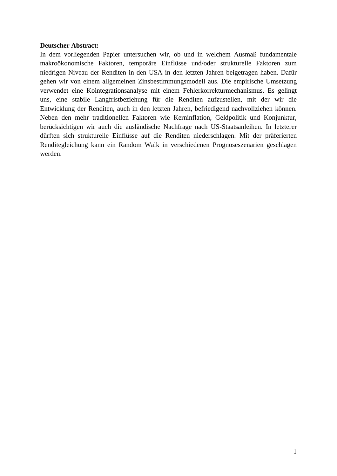#### **Deutscher Abstract:**

In dem vorliegenden Papier untersuchen wir, ob und in welchem Ausmaß fundamentale makroökonomische Faktoren, temporäre Einflüsse und/oder strukturelle Faktoren zum niedrigen Niveau der Renditen in den USA in den letzten Jahren beigetragen haben. Dafür gehen wir von einem allgemeinen Zinsbestimmungsmodell aus. Die empirische Umsetzung verwendet eine Kointegrationsanalyse mit einem Fehlerkorrekturmechanismus. Es gelingt uns, eine stabile Langfristbeziehung für die Renditen aufzustellen, mit der wir die Entwicklung der Renditen, auch in den letzten Jahren, befriedigend nachvollziehen können. Neben den mehr traditionellen Faktoren wie Kerninflation, Geldpolitik und Konjunktur, berücksichtigen wir auch die ausländische Nachfrage nach US-Staatsanleihen. In letzterer dürften sich strukturelle Einflüsse auf die Renditen niederschlagen. Mit der präferierten Renditegleichung kann ein Random Walk in verschiedenen Prognoseszenarien geschlagen werden.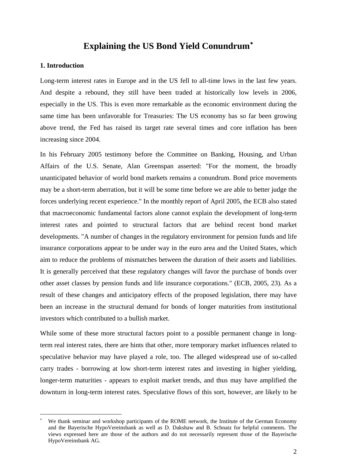# **Explaining the US Bond Yield Conundrum**[∗](#page-5-0)

#### **1. Introduction**

1

Long-term interest rates in Europe and in the US fell to all-time lows in the last few years. And despite a rebound, they still have been traded at historically low levels in 2006, especially in the US. This is even more remarkable as the economic environment during the same time has been unfavorable for Treasuries: The US economy has so far been growing above trend, the Fed has raised its target rate several times and core inflation has been increasing since 2004.

In his February 2005 testimony before the Committee on Banking, Housing, and Urban Affairs of the U.S. Senate, Alan Greenspan asserted: "For the moment, the broadly unanticipated behavior of world bond markets remains a conundrum. Bond price movements may be a short-term aberration, but it will be some time before we are able to better judge the forces underlying recent experience." In the monthly report of April 2005, the ECB also stated that macroeconomic fundamental factors alone cannot explain the development of long-term interest rates and pointed to structural factors that are behind recent bond market developments. "A number of changes in the regulatory environment for pension funds and life insurance corporations appear to be under way in the euro area and the United States, which aim to reduce the problems of mismatches between the duration of their assets and liabilities. It is generally perceived that these regulatory changes will favor the purchase of bonds over other asset classes by pension funds and life insurance corporations." (ECB, 2005, 23). As a result of these changes and anticipatory effects of the proposed legislation, there may have been an increase in the structural demand for bonds of longer maturities from institutional investors which contributed to a bullish market.

While some of these more structural factors point to a possible permanent change in longterm real interest rates, there are hints that other, more temporary market influences related to speculative behavior may have played a role, too. The alleged widespread use of so-called carry trades - borrowing at low short-term interest rates and investing in higher yielding, longer-term maturities - appears to exploit market trends, and thus may have amplified the downturn in long-term interest rates. Speculative flows of this sort, however, are likely to be

<span id="page-5-0"></span><sup>∗</sup> We thank seminar and workshop participants of the ROME network, the Institute of the German Economy and the Bayerische HypoVereinsbank as well as D. Dakshaw and B. Schnatz for helpful comments. The views expressed here are those of the authors and do not necessarily represent those of the Bayerische HypoVereinsbank AG.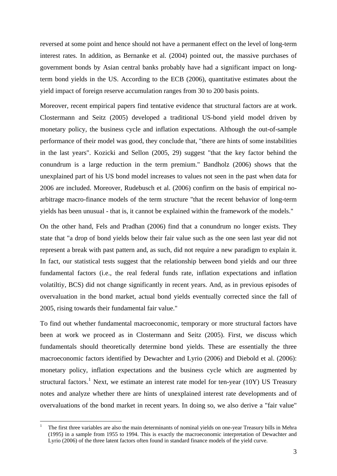reversed at some point and hence should not have a permanent effect on the level of long-term interest rates. In addition, as Bernanke et al. (2004) pointed out, the massive purchases of government bonds by Asian central banks probably have had a significant impact on longterm bond yields in the US. According to the ECB (2006), quantitative estimates about the yield impact of foreign reserve accumulation ranges from 30 to 200 basis points.

Moreover, recent empirical papers find tentative evidence that structural factors are at work. Clostermann and Seitz (2005) developed a traditional US-bond yield model driven by monetary policy, the business cycle and inflation expectations. Although the out-of-sample performance of their model was good, they conclude that, "there are hints of some instabilities in the last years". Kozicki and Sellon (2005, 29) suggest "that the key factor behind the conundrum is a large reduction in the term premium." Bandholz (2006) shows that the unexplained part of his US bond model increases to values not seen in the past when data for 2006 are included. Moreover, Rudebusch et al. (2006) confirm on the basis of empirical noarbitrage macro-finance models of the term structure "that the recent behavior of long-term yields has been unusual - that is, it cannot be explained within the framework of the models."

On the other hand, Fels and Pradhan (2006) find that a conundrum no longer exists. They state that "a drop of bond yields below their fair value such as the one seen last year did not represent a break with past pattern and, as such, did not require a new paradigm to explain it. In fact, our statistical tests suggest that the relationship between bond yields and our three fundamental factors (i.e., the real federal funds rate, inflation expectations and inflation volatiltiy, BCS) did not change significantly in recent years. And, as in previous episodes of overvaluation in the bond market, actual bond yields eventually corrected since the fall of 2005, rising towards their fundamental fair value."

To find out whether fundamental macroeconomic, temporary or more structural factors have been at work we proceed as in Clostermann and Seitz (2005). First, we discuss which fundamentals should theoretically determine bond yields. These are essentially the three macroeconomic factors identified by Dewachter and Lyrio (2006) and Diebold et al. (2006): monetary policy, inflation expectations and the business cycle which are augmented by structural factors.<sup>[1](#page-6-0)</sup> Next, we estimate an interest rate model for ten-year (10Y) US Treasury notes and analyze whether there are hints of unexplained interest rate developments and of overvaluations of the bond market in recent years. In doing so, we also derive a "fair value"

1

<span id="page-6-0"></span><sup>1</sup> The first three variables are also the main determinants of nominal yields on one-year Treasury bills in Mehra (1995) in a sample from 1955 to 1994. This is exactly the macroeconomic interpretation of Dewachter and Lyrio (2006) of the three latent factors often found in standard finance models of the yield curve.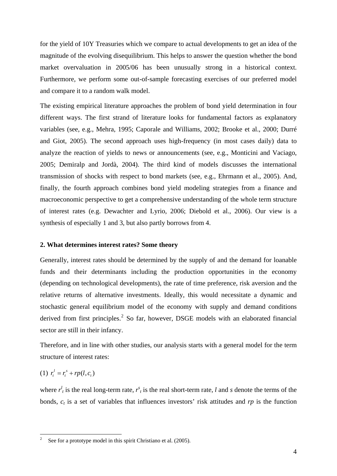for the yield of 10Y Treasuries which we compare to actual developments to get an idea of the magnitude of the evolving disequilibrium. This helps to answer the question whether the bond market overvaluation in 2005/06 has been unusually strong in a historical context. Furthermore, we perform some out-of-sample forecasting exercises of our preferred model and compare it to a random walk model.

The existing empirical literature approaches the problem of bond yield determination in four different ways. The first strand of literature looks for fundamental factors as explanatory variables (see, e.g., Mehra, 1995; Caporale and Williams, 2002; Brooke et al., 2000; Durré and Giot, 2005). The second approach uses high-frequency (in most cases daily) data to analyze the reaction of yields to news or announcements (see, e.g., Monticini and Vaciago, 2005; Demiralp and Jordà, 2004). The third kind of models discusses the international transmission of shocks with respect to bond markets (see, e.g., Ehrmann et al., 2005). And, finally, the fourth approach combines bond yield modeling strategies from a finance and macroeconomic perspective to get a comprehensive understanding of the whole term structure of interest rates (e.g. Dewachter and Lyrio, 2006; Diebold et al., 2006). Our view is a synthesis of especially 1 and 3, but also partly borrows from 4.

#### **2. What determines interest rates? Some theory**

Generally, interest rates should be determined by the supply of and the demand for loanable funds and their determinants including the production opportunities in the economy (depending on technological developments), the rate of time preference, risk aversion and the relative returns of alternative investments. Ideally, this would necessitate a dynamic and stochastic general equilibrium model of the economy with supply and demand conditions derived from first principles. $<sup>2</sup>$  $<sup>2</sup>$  $<sup>2</sup>$  So far, however, DSGE models with an elaborated financial</sup> sector are still in their infancy.

Therefore, and in line with other studies, our analysis starts with a general model for the term structure of interest rates:

(1) 
$$
r_t^l = r_t^s + rp(l, c_t)
$$

1

where  $r^l_i$  is the real long-term rate,  $r^s_i$  is the real short-term rate, *l* and *s* denote the terms of the bonds,  $c_t$  is a set of variables that influences investors' risk attitudes and  $rp$  is the function

<span id="page-7-0"></span><sup>2</sup> See for a prototype model in this spirit Christiano et al. (2005).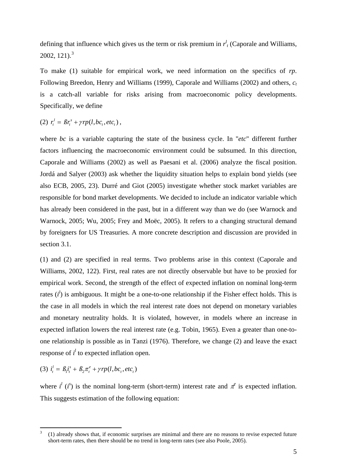defining that influence which gives us the term or risk premium in  $r<sup>l</sup><sub>t</sub>$  (Caporale and Williams, 2002, 121 $\lambda$ <sup>[3](#page-8-0)</sup>

To make (1) suitable for empirical work, we need information on the specifics of *rp*. Following Breedon, Henry and Williams (1999), Caporale and Williams (2002) and others, *ct* is a catch-all variable for risks arising from macroeconomic policy developments. Specifically, we define

(2)  $r_t^l = \beta r_t^s + \gamma r p(l, bc_t, etc_t)$ ,

where *bc* is a variable capturing the state of the business cycle. In "*etc*" different further factors influencing the macroeconomic environment could be subsumed. In this direction, Caporale and Williams (2002) as well as Paesani et al. (2006) analyze the fiscal position. Jordá and Salyer (2003) ask whether the liquidity situation helps to explain bond yields (see also ECB, 2005, 23). Durré and Giot (2005) investigate whether stock market variables are responsible for bond market developments. We decided to include an indicator variable which has already been considered in the past, but in a different way than we do (see Warnock and Warnock, 2005; Wu, 2005; Frey and Moëc, 2005). It refers to a changing structural demand by foreigners for US Treasuries. A more concrete description and discussion are provided in section 3.1.

(1) and (2) are specified in real terms. Two problems arise in this context (Caporale and Williams, 2002, 122). First, real rates are not directly observable but have to be proxied for empirical work. Second, the strength of the effect of expected inflation on nominal long-term rates  $(i^l)$  is ambiguous. It might be a one-to-one relationship if the Fisher effect holds. This is the case in all models in which the real interest rate does not depend on monetary variables and monetary neutrality holds. It is violated, however, in models where an increase in expected inflation lowers the real interest rate (e.g. Tobin, 1965). Even a greater than one-toone relationship is possible as in Tanzi (1976). Therefore, we change (2) and leave the exact response of  $i^l$  to expected inflation open.

(3)  $i_t^l = \beta_1 i_t^s + \beta_2 \pi_t^e + \gamma r p(l, bc_t, etc_t)$ 

<u>.</u>

where  $i^l$  ( $i^s$ ) is the nominal long-term (short-term) interest rate and  $\pi^e$  is expected inflation. This suggests estimation of the following equation:

<span id="page-8-0"></span><sup>3</sup> (1) already shows that, if economic surprises are minimal and there are no reasons to revise expected future short-term rates, then there should be no trend in long-term rates (see also Poole, 2005).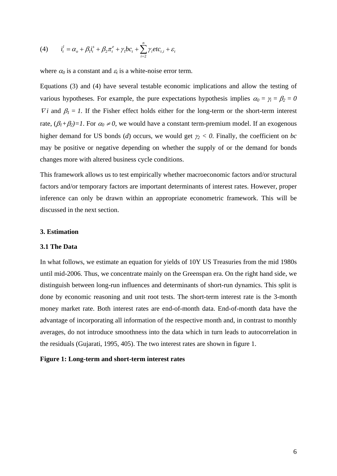(4) 
$$
i_{t}^{l} = \alpha_{o} + \beta_{1}i_{t}^{s} + \beta_{2}\pi_{t}^{e} + \gamma_{1}bc_{t} + \sum_{i=2}^{n} \gamma_{i} etc_{t,i} + \varepsilon_{t}
$$

where  $\alpha_0$  is a constant and  $\varepsilon_t$  is a white-noise error term.

Equations (3) and (4) have several testable economic implications and allow the testing of various hypotheses. For example, the pure expectations hypothesis implies  $\alpha_0 = \gamma_i = \beta_2 = 0$  $\nabla i$  and  $\beta_i = 1$ . If the Fisher effect holds either for the long-term or the short-term interest rate,  $(\beta_1 + \beta_2) = 1$ . For  $\alpha_0 \neq 0$ , we would have a constant term-premium model. If an exogenous higher demand for US bonds (*d*) occurs, we would get γ*2 < 0*. Finally, the coefficient on *bc* may be positive or negative depending on whether the supply of or the demand for bonds changes more with altered business cycle conditions.

This framework allows us to test empirically whether macroeconomic factors and/or structural factors and/or temporary factors are important determinants of interest rates. However, proper inference can only be drawn within an appropriate econometric framework. This will be discussed in the next section.

#### **3. Estimation**

#### **3.1 The Data**

In what follows, we estimate an equation for yields of 10Y US Treasuries from the mid 1980s until mid-2006. Thus, we concentrate mainly on the Greenspan era. On the right hand side, we distinguish between long-run influences and determinants of short-run dynamics. This split is done by economic reasoning and unit root tests. The short-term interest rate is the 3-month money market rate. Both interest rates are end-of-month data. End-of-month data have the advantage of incorporating all information of the respective month and, in contrast to monthly averages, do not introduce smoothness into the data which in turn leads to autocorrelation in the residuals (Gujarati, 1995, 405). The two interest rates are shown in figure 1.

#### **Figure 1: Long-term and short-term interest rates**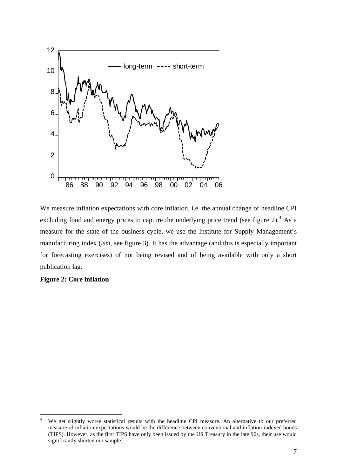

We measure inflation expectations with core inflation, i.e. the annual change of headline CPI excluding food and energy prices to capture the underlying price trend (see figure 2). $4$  As a measure for the state of the business cycle, we use the Institute for Supply Management's manufacturing index (*ism*, see figure 3). It has the advantage (and this is especially important for forecasting exercises) of not being revised and of being available with only a short publication lag.

#### **Figure 2: Core inflation**

1

<span id="page-10-0"></span><sup>4</sup> We get slightly worse statistical results with the headline CPI measure. An alternative to our preferred measure of inflation expectations would be the difference between conventional and inflation-indexed bonds (TIPS). However, as the first TIPS have only been issued by the US Treasury in the late 90s, their use would significantly shorten our sample.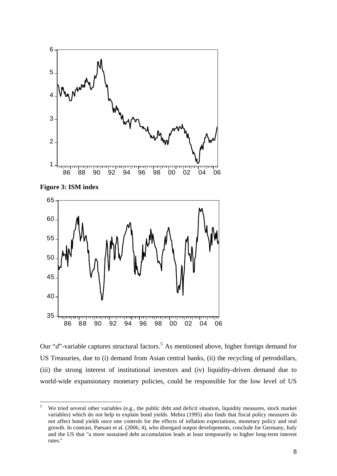





Our "d"-variable captures structural factors.<sup>[5](#page-11-0)</sup> As mentioned above, higher foreign demand for US Treasuries, due to (i) demand from Asian central banks, (ii) the recycling of petrodollars, (iii) the strong interest of institutional investors and (iv) liquidity-driven demand due to world-wide expansionary monetary policies, could be responsible for the low level of US

<span id="page-11-0"></span> We tried several other variables (e.g., the public debt and deficit situation, liquidity measures, stock market variables) which do not help to explain bond yields. Mehra (1995) also finds that fiscal policy measures do not affect bond yields once one controls for the effects of inflation expectations, monetary policy and real growth. In contrast, Paesani et al. (2006, 4), who disregard output developments, conclude for Germany, Italy and the US that "a more sustained debt accumulation leads at least temporarily to higher long-term interest rates."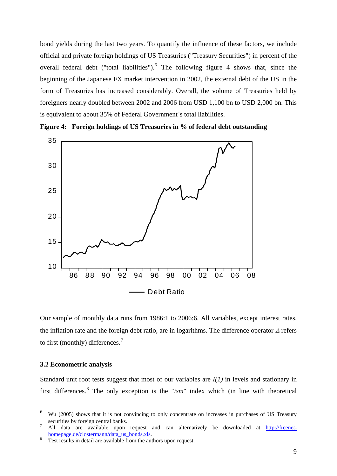bond yields during the last two years. To quantify the influence of these factors, we include official and private foreign holdings of US Treasuries ("Treasury Securities") in percent of the overall federal debt ("total liabilities"). $<sup>6</sup>$  $<sup>6</sup>$  $<sup>6</sup>$  The following figure 4 shows that, since the</sup> beginning of the Japanese FX market intervention in 2002, the external debt of the US in the form of Treasuries has increased considerably. Overall, the volume of Treasuries held by foreigners nearly doubled between 2002 and 2006 from USD 1,100 bn to USD 2,000 bn. This is equivalent to about 35% of Federal Government`s total liabilities.



**Figure 4: Foreign holdings of US Treasuries in % of federal debt outstanding** 

Our sample of monthly data runs from 1986:1 to 2006:6. All variables, except interest rates, the inflation rate and the foreign debt ratio, are in logarithms. The difference operator Δ refers to first (monthly) differences. $<sup>7</sup>$  $<sup>7</sup>$  $<sup>7</sup>$ </sup>

#### **3.2 Econometric analysis**

<u>.</u>

Standard unit root tests suggest that most of our variables are *I(1)* in levels and stationary in first differences.<sup>[8](#page-12-2)</sup> The only exception is the "*ism*" index which (in line with theoretical

<span id="page-12-0"></span><sup>6</sup> Wu (2005) shows that it is not convincing to only concentrate on increases in purchases of US Treasury securities by foreign central banks.

<span id="page-12-1"></span>All data are available upon request and can alternatively be downloaded at [http://freenet](http://freenet-homepage.de/clostermann/data_us_bonds.xls) $homepage.de/clostermann/data us bonds.xls.$ 

<span id="page-12-2"></span>Test results in detail are available from the authors upon request.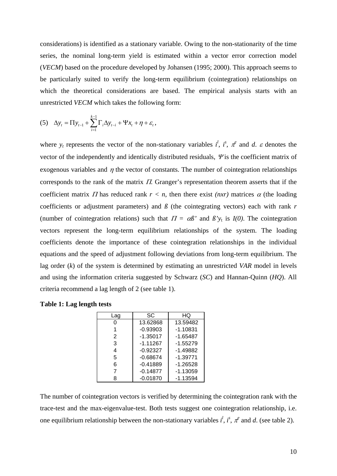considerations) is identified as a stationary variable. Owing to the non-stationarity of the time series, the nominal long-term yield is estimated within a vector error correction model (*VECM*) based on the procedure developed by Johansen (1995; 2000). This approach seems to be particularly suited to verify the long-term equilibrium (cointegration) relationships on which the theoretical considerations are based. The empirical analysis starts with an unrestricted *VECM* which takes the following form:

(5) 
$$
\Delta y_t = \Pi y_{t-1} + \sum_{i=1}^{k-1} \Gamma_i \Delta y_{t-i} + \Psi x_t + \eta + \varepsilon_t,
$$

where  $y_t$  represents the vector of the non-stationary variables  $i^l$ ,  $i^s$ ,  $\pi^e$  and *d*.  $\varepsilon$  denotes the vector of the independently and identically distributed residuals,  $\mathbf{\Psi}$  is the coefficient matrix of exogenous variables and  $\eta$  the vector of constants. The number of cointegration relationships corresponds to the rank of the matrix  $\Pi$ . Granger's representation theorem asserts that if the coefficient matrix  $\Pi$  has reduced rank  $r < n$ , then there exist *(nxr)* matrices  $\alpha$  (the loading coefficients or adjustment parameters) and  $\beta$  (the cointegrating vectors) each with rank  $r$ (number of cointegration relations) such that  $\Pi = \alpha \beta'$  and  $\beta' y_t$  is  $I(0)$ . The cointegration vectors represent the long-term equilibrium relationships of the system. The loading coefficients denote the importance of these cointegration relationships in the individual equations and the speed of adjustment following deviations from long-term equilibrium. The lag order (*k*) of the system is determined by estimating an unrestricted *VAR* model in levels and using the information criteria suggested by Schwarz (*SC*) and Hannan-Quinn (*HQ*). All criteria recommend a lag length of 2 (see table 1).

| Lag | SC         | HQ         |
|-----|------------|------------|
|     | 13.62868   | 13.59482   |
|     | $-0.93903$ | $-1.10831$ |
| 2   | $-1.35017$ | $-1.65487$ |
| 3   | $-1.11267$ | $-1.55279$ |
| 4   | $-0.92327$ | $-1.49882$ |
| 5   | $-0.68674$ | $-1.39771$ |
| 6   | $-0.41889$ | $-1.26528$ |
|     | $-0.14877$ | $-1.13059$ |
| 8   | $-0.01870$ | $-1.13594$ |

|  | Table 1: Lag length tests |  |
|--|---------------------------|--|
|  |                           |  |

The number of cointegration vectors is verified by determining the cointegration rank with the trace-test and the max-eigenvalue-test. Both tests suggest one cointegration relationship, i.e. one equilibrium relationship between the non-stationary variables  $i^l$ ,  $i^s$ ,  $\pi^e$  and *d*. (see table 2).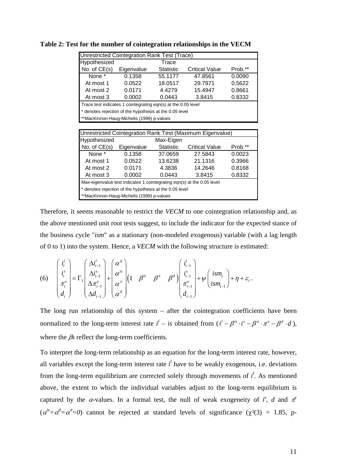| Unrestricted Cointegration Rank Test (Trace)              |                                                               |                  |                                                                        |         |  |  |
|-----------------------------------------------------------|---------------------------------------------------------------|------------------|------------------------------------------------------------------------|---------|--|--|
| Hypothesized<br>Trace                                     |                                                               |                  |                                                                        |         |  |  |
| No. of $CE(s)$                                            | Eigenvalue                                                    | Statistic        | Prob.**                                                                |         |  |  |
| None *                                                    | 0.1358                                                        | 55.1177          | 47.8561                                                                | 0.0090  |  |  |
| At most 1                                                 | 0.0522                                                        | 18.0517          | 29.7971                                                                | 0.5622  |  |  |
| At most 2                                                 | 0.0171                                                        | 4.4279           | 15.4947                                                                | 0.8661  |  |  |
| At most 3                                                 | 0.0002                                                        | 0.0443           | 3.8415                                                                 | 0.8332  |  |  |
|                                                           | Trace test indicates 1 cointegrating eqn(s) at the 0.05 level |                  |                                                                        |         |  |  |
|                                                           | * denotes rejection of the hypothesis at the 0.05 level       |                  |                                                                        |         |  |  |
|                                                           | **MacKinnon-Haug-Michelis (1999) p-values                     |                  |                                                                        |         |  |  |
|                                                           |                                                               |                  |                                                                        |         |  |  |
| Unrestricted Cointegration Rank Test (Maximum Eigenvalue) |                                                               |                  |                                                                        |         |  |  |
|                                                           |                                                               |                  |                                                                        |         |  |  |
| Hypothesized                                              |                                                               | Max-Eigen        |                                                                        |         |  |  |
| No. of $CE(s)$                                            | Eigenvalue                                                    | <b>Statistic</b> | <b>Critical Value</b>                                                  | Prob.** |  |  |
| None *                                                    | 0.1358                                                        | 37.0659          | 27.5843                                                                | 0.0023  |  |  |
| At most 1                                                 | 0.0522                                                        | 13.6238          | 21.1316                                                                | 0.3966  |  |  |
| At most 2                                                 | 0.0171                                                        | 4.3836           | 14.2646                                                                | 0.8168  |  |  |
| At most 3                                                 | 0.0002                                                        | 0.0443           | 3.8415                                                                 | 0.8332  |  |  |
|                                                           |                                                               |                  | Max-eigenvalue test indicates 1 cointegrating eqn(s) at the 0.05 level |         |  |  |
|                                                           | * denotes rejection of the hypothesis at the 0.05 level       |                  |                                                                        |         |  |  |

**Table 2: Test for the number of cointegration relationships in the VECM** 

Therefore, it seems reasonable to restrict the *VECM* to one cointegration relationship and, as the above mentioned unit root tests suggest, to include the indicator for the expected stance of the business cycle "*ism*" as a stationary (non-modeled exogenous) variable (with a lag length of 0 to 1) into the system. Hence, a *VECM* with the following structure is estimated:

$$
(6) \quad \begin{pmatrix} i_t^l \\ i_t^s \\ \pi_t^e \\ d_t \end{pmatrix} = \Gamma_1 \begin{pmatrix} \Delta i_{t-1}^l \\ \Delta i_{t-1}^s \\ \Delta \pi_{t-1}^e \\ \Delta d_{t-1} \end{pmatrix} + \begin{pmatrix} \alpha^{il} \\ \alpha^{is} \\ \alpha^{\pi} \\ \alpha^d \end{pmatrix} \begin{pmatrix} 1 & \beta^{is} & \beta^{\pi} & \beta^d \end{pmatrix} \begin{pmatrix} i_{t-1}^l \\ i_{t-1}^s \\ \pi_{t-1}^e \\ d_{t-1} \end{pmatrix} + \psi \begin{pmatrix} i s m_t \\ i s m_{t-1} \end{pmatrix} + \eta + \varepsilon_t \, .
$$

The long run relationship of this system – after the cointegration coefficients have been normalized to the long-term interest rate  $i^l - is$  obtained from  $(i^l - \beta^{is} \cdot i^s - \beta^a \cdot \pi^e - \beta^d \cdot d)$ , where the β*s* reflect the long-term coefficients.

To interpret the long-term relationship as an equation for the long-term interest rate, however, all variables except the long-term interest rate  $i^l$  have to be weakly exogenous, i.e. deviations from the long-term equilibrium are corrected solely through movements of  $i^l$ . As mentioned above, the extent to which the individual variables adjust to the long-term equilibrium is captured by the  $\alpha$ -values. In a formal test, the null of weak exogeneity of *i*<sup>s</sup>, *d* and  $\pi$ <sup>*e*</sup>  $(a^{iS} = \alpha^{d} = \alpha^{T} = 0)$  cannot be rejected at standard levels of significance ( $\chi^{2}(3) = 1.85$ , p-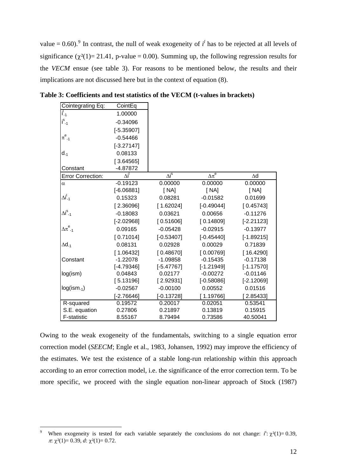value =  $0.60$ ).<sup>[9](#page-15-0)</sup> In contrast, the null of weak exogeneity of  $i^l$  has to be rejected at all levels of significance ( $\chi^2(1)$ = 21.41, p-value = 0.00). Summing up, the following regression results for the *VECM* ensue (see table 3). For reasons to be mentioned below, the results and their implications are not discussed here but in the context of equation (8).

| Cointegrating Eq:         | CointEq         |              |               |              |
|---------------------------|-----------------|--------------|---------------|--------------|
| i'.,                      | 1.00000         |              |               |              |
| $i_{-1}^s$                | $-0.34096$      |              |               |              |
|                           | $[-5.35907]$    |              |               |              |
| $\pi^e_{-1}$              | $-0.54466$      |              |               |              |
|                           | $[-3.27147]$    |              |               |              |
| d. <sub>1</sub>           | 0.08133         |              |               |              |
|                           | [3.64565]       |              |               |              |
| Constant                  | $-4.87872$      |              |               |              |
| <b>Error Correction:</b>  | Δi <sup>l</sup> | $\Delta i^s$ | $\Delta\pi^e$ | $\Delta d$   |
| $\alpha$                  | $-0.19123$      | 0.00000      | 0.00000       | 0.00000      |
|                           | $[-6.06881]$    | [NA]         | [NA]          | [NA]         |
| $\Delta i_{-1}^{\dagger}$ | 0.15323         | 0.08281      | $-0.01582$    | 0.01699      |
|                           | [2.36096]       | [1.62024]    | $[-0.49044]$  | [0.45743]    |
| $\Delta i_{-1}^s$         | $-0.18083$      | 0.03621      | 0.00656       | $-0.11276$   |
|                           | $[-2.02968]$    | [0.51606]    | [0.14809]     | $[-2.21123]$ |
| $\Delta\pi^\mathsf{e}$ -1 | 0.09165         | $-0.05428$   | $-0.02915$    | $-0.13977$   |
|                           | [0.71014]       | $[-0.53407]$ | $[-0.45440]$  | $[-1.89215]$ |
| $\Delta$ d <sub>-1</sub>  | 0.08131         | 0.02928      | 0.00029       | 0.71839      |
|                           | [1.06432]       | [0.48670]    | [0.00769]     | [16.4290]    |
| Constant                  | $-1.22078$      | $-1.09858$   | $-0.15435$    | $-0.17138$   |
|                           | $[-4.79346]$    | $[-5.47767]$ | $[-1.21949]$  | $[-1.17570]$ |
| log(ism)                  | 0.04843         | 0.02177      | $-0.00272$    | $-0.01146$   |
|                           | [5.13196]       | [2.92931]    | $[-0.58086]$  | $[-2.12069]$ |
| $log(ism_{-1})$           | $-0.02567$      | $-0.00100$   | 0.00552       | 0.01516      |
|                           | $[-2.76646]$    | $[-0.13728]$ | [1.19766]     | 2.85433]     |
| R-squared                 | 0.19572         | 0.20017      | 0.02051       | 0.53541      |
| S.E. equation             | 0.27806         | 0.21897      | 0.13819       | 0.15915      |
| F-statistic               | 8.55167         | 8.79494      | 0.73586       | 40.50041     |

**Table 3: Coefficients and test statistics of the VECM (t-values in brackets)** 

Owing to the weak exogeneity of the fundamentals, switching to a single equation error correction model (*SEECM*; Engle et al., 1983, Johansen, 1992) may improve the efficiency of the estimates. We test the existence of a stable long-run relationship within this approach according to an error correction model, i.e. the significance of the error correction term. To be more specific, we proceed with the single equation non-linear approach of Stock (1987)

<u>.</u>

<span id="page-15-0"></span><sup>9</sup> When exogeneity is tested for each variable separately the conclusions do not change:  $i^s$ :  $\chi^2(1) = 0.39$ , π:  $χ<sup>2</sup>(1)=0.39, d$ :  $χ<sup>2</sup>(1)=0.72$ .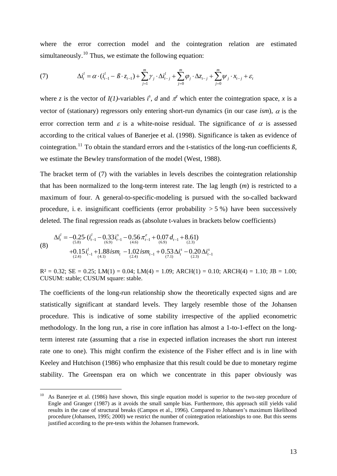where the error correction model and the cointegration relation are estimated simultaneously.<sup>[10](#page-16-0)</sup> Thus, we estimate the following equation:

(7) 
$$
\Delta i_t^l = \alpha \cdot (i_{t-1}^l - \beta \cdot z_{t-1}) + \sum_{j=1}^m \gamma_j \cdot \Delta i_{t-j}^l + \sum_{j=0}^m \varphi_j \cdot \Delta z_{t-j} + \sum_{j=0}^m \psi_j \cdot x_{t-j} + \varepsilon_t
$$

where *z* is the vector of  $I(1)$ -variables *i*<sup>s</sup>, *d* and  $\pi$ <sup>*e*</sup> which enter the cointegration space, *x* is a vector of (stationary) regressors only entering short-run dynamics (in our case *ism*),  $\alpha$  is the error correction term and  $\varepsilon$  is a white-noise residual. The significance of  $\alpha$  is assessed according to the critical values of Banerjee et al. (1998). Significance is taken as evidence of cointegration.<sup>[11](#page-16-1)</sup> To obtain the standard errors and the t-statistics of the long-run coefficients  $\beta$ , we estimate the Bewley transformation of the model (West, 1988).

The bracket term of (7) with the variables in levels describes the cointegration relationship that has been normalized to the long-term interest rate. The lag length (*m*) is restricted to a maximum of four. A general-to-specific-modeling is pursued with the so-called backward procedure, i. e. insignificant coefficients (error probability  $> 5\%$ ) have been successively deleted. The final regression reads as (absolute t-values in brackets below coefficients)

(8) 
$$
\Delta i_t^l = -0.25 \cdot (i_{t-1}^l - 0.33 i_{t-1}^s - 0.56 \pi_{t-1}^e + 0.07 d_{t-1} + 8.61)   
+ 0.15 i_{t-1}^l + 1.88 i s m_t - 1.02 i s m_{t-1} + 0.53 \Delta i_t^s - 0.20 \Delta i_{t-1}^s   
\n (2.4) (4.1) (4.1) (4.2) (4.3)
$$

1

 $R^2 = 0.32$ ;  $SE = 0.25$ ;  $LM(1) = 0.04$ ;  $LM(4) = 1.09$ ;  $ARCH(1) = 0.10$ ;  $ARCH(4) = 1.10$ ;  $JB = 1.00$ ; CUSUM: stable; CUSUM square: stable.

The coefficients of the long-run relationship show the theoretically expected signs and are statistically significant at standard levels. They largely resemble those of the Johansen procedure. This is indicative of some stability irrespective of the applied econometric methodology. In the long run, a rise in core inflation has almost a 1-to-1-effect on the longterm interest rate (assuming that a rise in expected inflation increases the short run interest rate one to one). This might confirm the existence of the Fisher effect and is in line with Keeley and Hutchison (1986) who emphasize that this result could be due to monetary regime stability. The Greenspan era on which we concentrate in this paper obviously was

<span id="page-16-1"></span><span id="page-16-0"></span><sup>&</sup>lt;sup>10</sup> As Banerjee et al. (1986) have shown, this single equation model is superior to the two-step procedure of Engle and Granger (1987) as it avoids the small sample bias. Furthermore, this approach still yields valid results in the case of structural breaks (Campos et al., 1996). Compared to Johansen's maximum likelihood procedure (Johansen, 1995; 2000) we restrict the number of cointegration relationships to one. But this seems justified according to the pre-tests within the Johansen framework.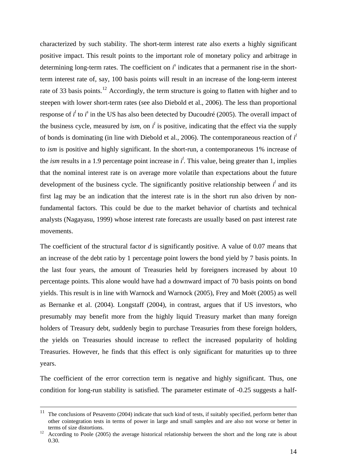characterized by such stability. The short-term interest rate also exerts a highly significant positive impact. This result points to the important role of monetary policy and arbitrage in determining long-term rates. The coefficient on  $i<sup>s</sup>$  indicates that a permanent rise in the shortterm interest rate of, say, 100 basis points will result in an increase of the long-term interest rate of 33 basis points.<sup>[12](#page-17-0)</sup> Accordingly, the term structure is going to flatten with higher and to steepen with lower short-term rates (see also Diebold et al., 2006). The less than proportional response of  $i^l$  to  $i^s$  in the US has also been detected by Ducoudré (2005). The overall impact of the business cycle, measured by *ism*, on  $i^l$  is positive, indicating that the effect via the supply of bonds is dominating (in line with Diebold et al., 2006). The contemporaneous reaction of *i l* to *ism* is positive and highly significant. In the short-run, a contemporaneous 1% increase of the *ism* results in a 1.9 percentage point increase in  $i^l$ . This value, being greater than 1, implies that the nominal interest rate is on average more volatile than expectations about the future development of the business cycle. The significantly positive relationship between  $i<sup>l</sup>$  and its first lag may be an indication that the interest rate is in the short run also driven by nonfundamental factors. This could be due to the market behavior of chartists and technical analysts (Nagayasu, 1999) whose interest rate forecasts are usually based on past interest rate movements.

The coefficient of the structural factor *d* is significantly positive. A value of 0.07 means that an increase of the debt ratio by 1 percentage point lowers the bond yield by 7 basis points. In the last four years, the amount of Treasuries held by foreigners increased by about 10 percentage points. This alone would have had a downward impact of 70 basis points on bond yields. This result is in line with Warnock and Warnock (2005), Frey and Moët (2005) as well as Bernanke et al. (2004). Longstaff (2004), in contrast, argues that if US investors, who presumably may benefit more from the highly liquid Treasury market than many foreign holders of Treasury debt, suddenly begin to purchase Treasuries from these foreign holders, the yields on Treasuries should increase to reflect the increased popularity of holding Treasuries. However, he finds that this effect is only significant for maturities up to three years.

The coefficient of the error correction term is negative and highly significant. Thus, one condition for long-run stability is satisfied. The parameter estimate of -0.25 suggests a half-

 $11$ The conclusions of Pesavento (2004) indicate that such kind of tests, if suitably specified, perform better than other cointegration tests in terms of power in large and small samples and are also not worse or better in terms of size distortions.<br><sup>12</sup> According to Poole (2005) the average historical relationship between the short and the long rate is about

<span id="page-17-0"></span><sup>0.30.</sup>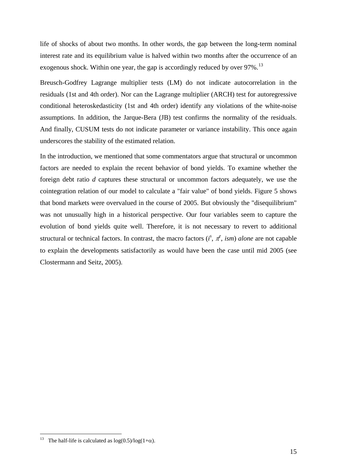life of shocks of about two months. In other words, the gap between the long-term nominal interest rate and its equilibrium value is halved within two months after the occurrence of an exogenous shock. Within one year, the gap is accordingly reduced by over 97%.<sup>[13](#page-18-0)</sup>

Breusch-Godfrey Lagrange multiplier tests (LM) do not indicate autocorrelation in the residuals (1st and 4th order). Nor can the Lagrange multiplier (ARCH) test for autoregressive conditional heteroskedasticity (1st and 4th order) identify any violations of the white-noise assumptions. In addition, the Jarque-Bera (JB) test confirms the normality of the residuals. And finally, CUSUM tests do not indicate parameter or variance instability. This once again underscores the stability of the estimated relation.

In the introduction, we mentioned that some commentators argue that structural or uncommon factors are needed to explain the recent behavior of bond yields. To examine whether the foreign debt ratio *d* captures these structural or uncommon factors adequately, we use the cointegration relation of our model to calculate a "fair value" of bond yields. Figure 5 shows that bond markets were overvalued in the course of 2005. But obviously the "disequilibrium" was not unusually high in a historical perspective. Our four variables seem to capture the evolution of bond yields quite well. Therefore, it is not necessary to revert to additional structural or technical factors. In contrast, the macro factors  $(i^s, \pi^e, i^s)$  *alone* are not capable to explain the developments satisfactorily as would have been the case until mid 2005 (see Clostermann and Seitz, 2005).

1

<span id="page-18-0"></span><sup>&</sup>lt;sup>13</sup> The half-life is calculated as  $log(0.5)/log(1+\alpha)$ .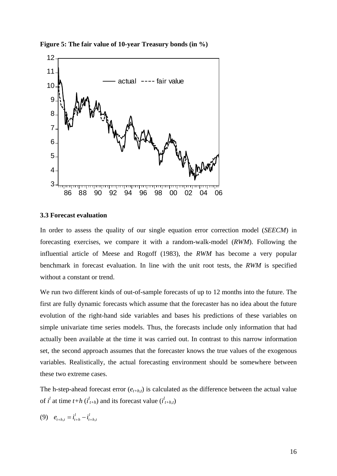

**Figure 5: The fair value of 10-year Treasury bonds (in %)** 

#### **3.3 Forecast evaluation**

In order to assess the quality of our single equation error correction model (*SEECM*) in forecasting exercises, we compare it with a random-walk-model (*RWM*). Following the influential article of Meese and Rogoff (1983), the *RWM* has become a very popular benchmark in forecast evaluation. In line with the unit root tests, the *RWM* is specified without a constant or trend.

We run two different kinds of out-of-sample forecasts of up to 12 months into the future. The first are fully dynamic forecasts which assume that the forecaster has no idea about the future evolution of the right-hand side variables and bases his predictions of these variables on simple univariate time series models. Thus, the forecasts include only information that had actually been available at the time it was carried out. In contrast to this narrow information set, the second approach assumes that the forecaster knows the true values of the exogenous variables. Realistically, the actual forecasting environment should be somewhere between these two extreme cases.

The h-step-ahead forecast error  $(e_{t+h,t})$  is calculated as the difference between the actual value of  $i^l$  at time  $t+h$  ( $i^l_{t+h}$ ) and its forecast value ( $i^l_{t+h,t}$ )

$$
(9) \quad e_{t+h,t} = \dot{i}_{t+h}^l - \dot{i}_{t+h,t}^l
$$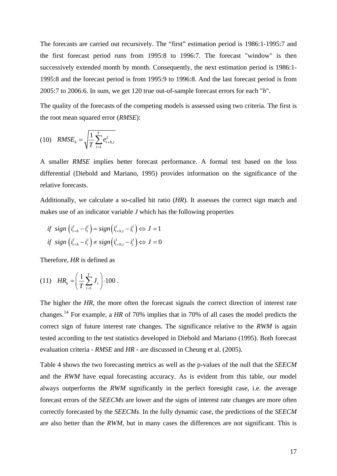The forecasts are carried out recursively. The "first" estimation period is 1986:1-1995:7 and the first forecast period runs from 1995:8 to 1996:7. The forecast "window" is then successively extended month by month. Consequently, the next estimation period is 1986:1- 1995:8 and the forecast period is from 1995:9 to 1996:8. And the last forecast period is from 2005:7 to 2006:6. In sum, we get 120 true out-of-sample forecast errors for each "*h*".

The quality of the forecasts of the competing models is assessed using two criteria. The first is the root mean squared error (*RMSE*):

(10) 
$$
RMSE_h = \sqrt{\frac{1}{T} \sum_{t=1}^{T} e_{t+h,t}^2}
$$

A smaller *RMSE* implies better forecast performance. A formal test based on the loss differential (Diebold and Mariano, 1995) provides information on the significance of the relative forecasts.

Additionally, we calculate a so-called hit ratio (*HR*). It assesses the correct sign match and makes use of an indicator variable *J* which has the following properties

$$
\begin{aligned}\n\text{if } \text{sign}\left(i_{t+h}^l - i_t^l\right) &= \text{sign}\left(i_{t+h,t}^l - i_t^l\right) \Leftrightarrow J = 1 \\
\text{if } \text{sign}\left(i_{t+h}^l - i_t^l\right) &\neq \text{sign}\left(i_{t+h,t}^l - i_t^l\right) \Leftrightarrow J = 0\n\end{aligned}
$$

Therefore, *HR* is defined as

(11) 
$$
HR_h = \left(\frac{1}{T}\sum_{t=1}^T J_t\right) \cdot 100.
$$

The higher the *HR*, the more often the forecast signals the correct direction of interest rate changes.[14](#page-20-0) For example, a *HR* of 70% implies that in 70% of all cases the model predicts the correct sign of future interest rate changes. The significance relative to the *RWM* is again tested according to the test statistics developed in Diebold and Mariano (1995). Both forecast evaluation criteria - *RMSE* and *HR* - are discussed in Cheung et al. (2005).

<span id="page-20-0"></span>Table 4 shows the two forecasting metrics as well as the p-values of the null that the *SEECM* and the *RWM* have equal forecasting accuracy. As is evident from this table, our model always outperforms the *RWM* significantly in the perfect foresight case, i.e. the average forecast errors of the *SEECMs* are lower and the signs of interest rate changes are more often correctly forecasted by the *SEECMs*. In the fully dynamic case, the predictions of the *SEECM* are also better than the *RWM*, but in many cases the differences are not significant. This is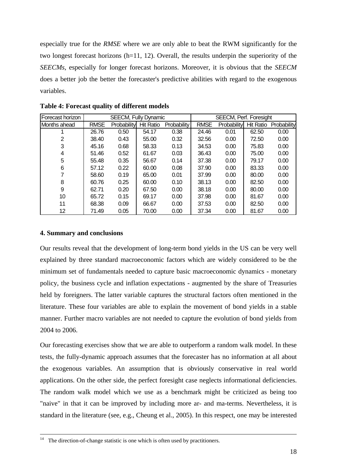especially true for the *RMSE* where we are only able to beat the RWM significantly for the two longest forecast horizons (h=11, 12). Overall, the results underpin the superiority of the *SEECMs*, especially for longer forecast horizons. Moreover, it is obvious that the *SEECM* does a better job the better the forecaster's predictive abilities with regard to the exogenous variables.

| Forecast horizon | <b>SEECM, Fully Dynamic</b> |             |                  | SEECM, Perf. Foresight |             |             |                  |             |
|------------------|-----------------------------|-------------|------------------|------------------------|-------------|-------------|------------------|-------------|
| Months ahead     | <b>RMSE</b>                 | Probability | <b>Hit Ratio</b> | <b>Probability</b>     | <b>RMSE</b> | Probability | <b>Hit Ratio</b> | Probability |
|                  | 26.76                       | 0.50        | 54.17            | 0.38                   | 24.46       | 0.01        | 62.50            | 0.00        |
| 2                | 38.40                       | 0.43        | 55.00            | 0.32                   | 32.56       | 0.00        | 72.50            | 0.00        |
| 3                | 45.16                       | 0.68        | 58.33            | 0.13                   | 34.53       | 0.00        | 75.83            | 0.00        |
| 4                | 51.46                       | 0.52        | 61.67            | 0.03                   | 36.43       | 0.00        | 75.00            | 0.00        |
| 5                | 55.48                       | 0.35        | 56.67            | 0.14                   | 37.38       | 0.00        | 79.17            | 0.00        |
| 6                | 57.12                       | 0.22        | 60.00            | 0.08                   | 37.90       | 0.00        | 83.33            | 0.00        |
| 7                | 58.60                       | 0.19        | 65.00            | 0.01                   | 37.99       | 0.00        | 80.00            | 0.00        |
| 8                | 60.76                       | 0.25        | 60.00            | 0.10                   | 38.13       | 0.00        | 82.50            | 0.00        |
| 9                | 62.71                       | 0.20        | 67.50            | 0.00                   | 38.18       | 0.00        | 80.00            | 0.00        |
| 10               | 65.72                       | 0.15        | 69.17            | 0.00                   | 37.98       | 0.00        | 81.67            | 0.00        |
| 11               | 68.38                       | 0.09        | 66.67            | 0.00                   | 37.53       | 0.00        | 82.50            | 0.00        |
| 12               | 71.49                       | 0.05        | 70.00            | 0.00                   | 37.34       | 0.00        | 81.67            | 0.00        |

**Table 4: Forecast quality of different models** 

#### **4. Summary and conclusions**

1

Our results reveal that the development of long-term bond yields in the US can be very well explained by three standard macroeconomic factors which are widely considered to be the minimum set of fundamentals needed to capture basic macroeconomic dynamics - monetary policy, the business cycle and inflation expectations - augmented by the share of Treasuries held by foreigners. The latter variable captures the structural factors often mentioned in the literature. These four variables are able to explain the movement of bond yields in a stable manner. Further macro variables are not needed to capture the evolution of bond yields from 2004 to 2006.

Our forecasting exercises show that we are able to outperform a random walk model. In these tests, the fully-dynamic approach assumes that the forecaster has no information at all about the exogenous variables. An assumption that is obviously conservative in real world applications. On the other side, the perfect foresight case neglects informational deficiencies. The random walk model which we use as a benchmark might be criticized as being too "naive" in that it can be improved by including more ar- and ma-terms. Nevertheless, it is standard in the literature (see, e.g., Cheung et al., 2005). In this respect, one may be interested

 $14$  The direction-of-change statistic is one which is often used by practitioners.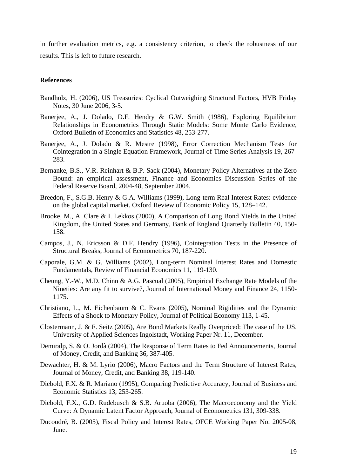in further evaluation metrics, e.g. a consistency criterion, to check the robustness of our results. This is left to future research.

#### **References**

- Bandholz, H. (2006), US Treasuries: Cyclical Outweighing Structural Factors, HVB Friday Notes, 30 June 2006, 3-5.
- Banerjee, A., J. Dolado, D.F. Hendry & G.W. Smith (1986), Exploring Equilibrium Relationships in Econometrics Through Static Models: Some Monte Carlo Evidence, Oxford Bulletin of Economics and Statistics 48, 253-277.
- Banerjee, A., J. Dolado & R. Mestre (1998), Error Correction Mechanism Tests for Cointegration in a Single Equation Framework, Journal of Time Series Analysis 19, 267- 283.
- Bernanke, B.S., V.R. Reinhart & B.P. Sack (2004), Monetary Policy Alternatives at the Zero Bound: an empirical assessment, Finance and Economics Discussion Series of the Federal Reserve Board, 2004-48, September 2004.
- Breedon, F., S.G.B. Henry & G.A. Williams (1999), Long-term Real Interest Rates: evidence on the global capital market. Oxford Review of Economic Policy 15, 128–142.
- Brooke, M., A. Clare & I. Lekkos (2000), A Comparison of Long Bond Yields in the United Kingdom, the United States and Germany, Bank of England Quarterly Bulletin 40, 150- 158.
- Campos, J., N. Ericsson & D.F. Hendry (1996), Cointegration Tests in the Presence of Structural Breaks, Journal of Econometrics 70, 187-220.
- Caporale, G.M. & G. Williams (2002), Long-term Nominal Interest Rates and Domestic Fundamentals, Review of Financial Economics 11, 119-130.
- Cheung, Y.-W., M.D. Chinn & A.G. Pascual (2005), Empirical Exchange Rate Models of the Nineties: Are any fit to survive?, Journal of International Money and Finance 24, 1150- 1175.
- Christiano, L., M. Eichenbaum & C. Evans (2005), Nominal Rigidities and the Dynamic Effects of a Shock to Monetary Policy, Journal of Political Economy 113, 1-45.
- Clostermann, J. & F. Seitz (2005), Are Bond Markets Really Overpriced: The case of the US, University of Applied Sciences Ingolstadt, Working Paper Nr. 11, December.
- Demiralp, S. & O. Jordà (2004), The Response of Term Rates to Fed Announcements, Journal of Money, Credit, and Banking 36, 387-405.
- Dewachter, H. & M. Lyrio (2006), Macro Factors and the Term Structure of Interest Rates, Journal of Money, Credit, and Banking 38, 119-140.
- Diebold, F.X. & R. Mariano (1995), Comparing Predictive Accuracy, Journal of Business and Economic Statistics 13, 253-265.
- Diebold, F.X., G.D. Rudebusch & S.B. Aruoba (2006), The Macroeconomy and the Yield Curve: A Dynamic Latent Factor Approach, Journal of Econometrics 131, 309-338.
- Ducoudré, B. (2005), Fiscal Policy and Interest Rates, OFCE Working Paper No. 2005-08, June.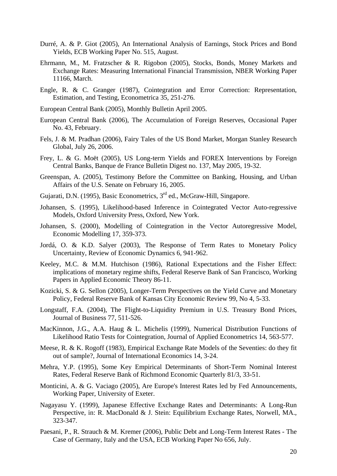- Durré, A. & P. Giot (2005), An International Analysis of Earnings, Stock Prices and Bond Yields, ECB Working Paper No. 515, August.
- Ehrmann, M., M. Fratzscher & R. Rigobon (2005), Stocks, Bonds, Money Markets and Exchange Rates: Measuring International Financial Transmission, NBER Working Paper 11166, March.
- Engle, R. & C. Granger (1987), Cointegration and Error Correction: Representation, Estimation, and Testing, Econometrica 35, 251-276.
- European Central Bank (2005), Monthly Bulletin April 2005.
- European Central Bank (2006), The Accumulation of Foreign Reserves, Occasional Paper No. 43, February.
- Fels, J. & M. Pradhan (2006), Fairy Tales of the US Bond Market, Morgan Stanley Research Global, July 26, 2006.
- Frey, L. & G. Moët (2005), US Long-term Yields and FOREX Interventions by Foreign Central Banks, Banque de France Bulletin Digest no. 137, May 2005, 19-32.
- Greenspan, A. (2005), Testimony Before the Committee on Banking, Housing, and Urban Affairs of the U.S. Senate on February 16, 2005.
- Gujarati, D.N. (1995), Basic Econometrics, 3<sup>rd</sup> ed., McGraw-Hill, Singapore.
- Johansen, S. (1995), Likelihood-based Inference in Cointegrated Vector Auto-regressive Models, Oxford University Press, Oxford, New York.
- Johansen, S. (2000), Modelling of Cointegration in the Vector Autoregressive Model, Economic Modelling 17, 359-373.
- Jordá, O. & K.D. Salyer (2003), The Response of Term Rates to Monetary Policy Uncertainty, Review of Economic Dynamics 6, 941-962.
- Keeley, M.C. & M.M. Hutchison (1986), Rational Expectations and the Fisher Effect: implications of monetary regime shifts, Federal Reserve Bank of San Francisco, Working Papers in Applied Economic Theory 86-11.
- Kozicki, S. & G. Sellon (2005), Longer-Term Perspectives on the Yield Curve and Monetary Policy, Federal Reserve Bank of Kansas City Economic Review 99, No 4, 5-33.
- Longstaff, F.A. (2004), The Flight-to-Liquidity Premium in U.S. Treasury Bond Prices, Journal of Business 77, 511-526.
- MacKinnon, J.G., A.A. Haug & L. Michelis (1999), Numerical Distribution Functions of Likelihood Ratio Tests for Cointegration, Journal of Applied Econometrics 14, 563-577.
- Meese, R. & K. Rogoff (1983), Empirical Exchange Rate Models of the Seventies: do they fit out of sample?, Journal of International Economics 14, 3-24.
- Mehra, Y.P. (1995), Some Key Empirical Determinants of Short-Term Nominal Interest Rates, Federal Reserve Bank of Richmond Economic Quarterly 81/3, 33-51.
- Monticini, A. & G. Vaciago (2005), Are Europe's Interest Rates led by Fed Announcements, Working Paper, University of Exeter.
- Nagayasu Y. (1999), Japanese Effective Exchange Rates and Determinants: A Long-Run Perspective, in: R. MacDonald & J. Stein: Equilibrium Exchange Rates, Norwell, MA., 323-347.
- Paesani, P., R. Strauch & M. Kremer (2006), Public Debt and Long-Term Interest Rates The Case of Germany, Italy and the USA, ECB Working Paper No 656, July.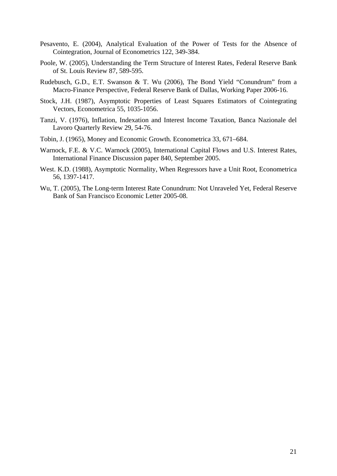- Pesavento, E. (2004), Analytical Evaluation of the Power of Tests for the Absence of Cointegration, Journal of Econometrics 122, 349-384.
- Poole, W. (2005), Understanding the Term Structure of Interest Rates, Federal Reserve Bank of St. Louis Review 87, 589-595.
- Rudebusch, G.D., E.T. Swanson & T. Wu (2006), The Bond Yield "Conundrum" from a Macro-Finance Perspective, Federal Reserve Bank of Dallas, Working Paper 2006-16.
- Stock, J.H. (1987), Asymptotic Properties of Least Squares Estimators of Cointegrating Vectors, Econometrica 55, 1035-1056.
- Tanzi, V. (1976), Inflation, Indexation and Interest Income Taxation, Banca Nazionale del Lavoro Quarterly Review 29, 54-76.
- Tobin, J. (1965), Money and Economic Growth. Econometrica 33, 671–684.
- Warnock, F.E. & V.C. Warnock (2005), International Capital Flows and U.S. Interest Rates, International Finance Discussion paper 840, September 2005.
- West. K.D. (1988), Asymptotic Normality, When Regressors have a Unit Root, Econometrica 56, 1397-1417.
- Wu, T. (2005), The Long-term Interest Rate Conundrum: Not Unraveled Yet, Federal Reserve Bank of San Francisco Economic Letter 2005-08.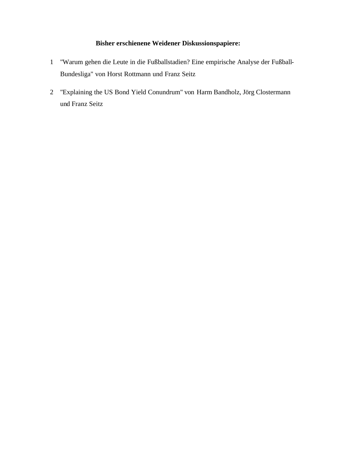### **Bisher erschienene Weidener Diskussionspapiere:**

- 1 "Warum gehen die Leute in die Fußballstadien? Eine empirische Analyse der Fußball-Bundesliga" von Horst Rottmann und Franz Seitz
- 2 "Explaining the US Bond Yield Conundrum" von Harm Bandholz, Jörg Clostermann und Franz Seitz